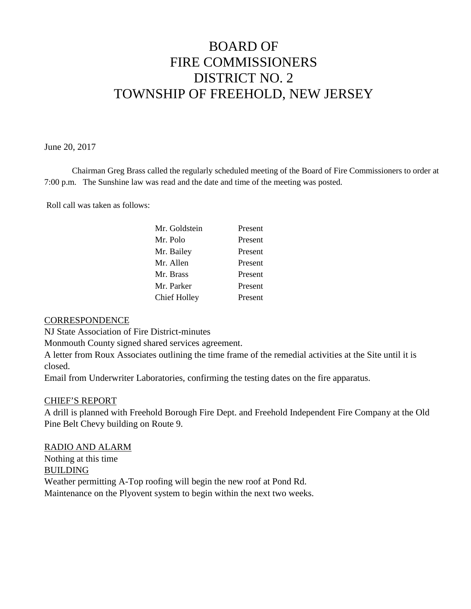# BOARD OF FIRE COMMISSIONERS DISTRICT NO. 2 TOWNSHIP OF FREEHOLD, NEW JERSEY

June 20, 2017

Chairman Greg Brass called the regularly scheduled meeting of the Board of Fire Commissioners to order at 7:00 p.m. The Sunshine law was read and the date and time of the meeting was posted.

Roll call was taken as follows:

| Mr. Goldstein | Present |
|---------------|---------|
| Mr. Polo      | Present |
| Mr. Bailey    | Present |
| Mr. Allen     | Present |
| Mr. Brass     | Present |
| Mr. Parker    | Present |
| Chief Holley  | Present |
|               |         |

#### **CORRESPONDENCE**

NJ State Association of Fire District-minutes

Monmouth County signed shared services agreement.

A letter from Roux Associates outlining the time frame of the remedial activities at the Site until it is closed.

Email from Underwriter Laboratories, confirming the testing dates on the fire apparatus.

#### CHIEF'S REPORT

A drill is planned with Freehold Borough Fire Dept. and Freehold Independent Fire Company at the Old Pine Belt Chevy building on Route 9.

RADIO AND ALARM Nothing at this time BUILDING Weather permitting A-Top roofing will begin the new roof at Pond Rd. Maintenance on the Plyovent system to begin within the next two weeks.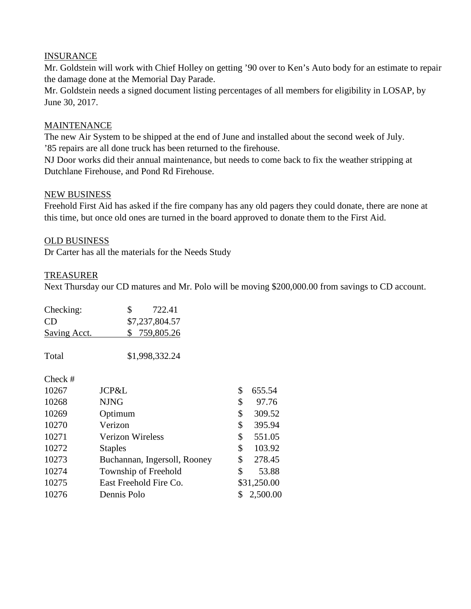### INSURANCE

Mr. Goldstein will work with Chief Holley on getting '90 over to Ken's Auto body for an estimate to repair the damage done at the Memorial Day Parade.

Mr. Goldstein needs a signed document listing percentages of all members for eligibility in LOSAP, by June 30, 2017.

# MAINTENANCE

The new Air System to be shipped at the end of June and installed about the second week of July. '85 repairs are all done truck has been returned to the firehouse.

NJ Door works did their annual maintenance, but needs to come back to fix the weather stripping at Dutchlane Firehouse, and Pond Rd Firehouse.

#### NEW BUSINESS

Freehold First Aid has asked if the fire company has any old pagers they could donate, there are none at this time, but once old ones are turned in the board approved to donate them to the First Aid.

# OLD BUSINESS

Dr Carter has all the materials for the Needs Study

### TREASURER

Next Thursday our CD matures and Mr. Polo will be moving \$200,000.00 from savings to CD account.

| Checking:<br>CD<br><b>Saving Acct.</b> | \$<br>722.41<br>\$7,237,804.57<br>759,805.26<br>\$ |               |
|----------------------------------------|----------------------------------------------------|---------------|
| Total                                  | \$1,998,332.24                                     |               |
| Check #                                |                                                    |               |
| 10267                                  | JCP&L                                              | \$<br>655.54  |
| 10268                                  | <b>NJNG</b>                                        | \$<br>97.76   |
| 10269                                  | Optimum                                            | \$<br>309.52  |
| 10270                                  | Verizon                                            | \$<br>395.94  |
| 10271                                  | <b>Verizon Wireless</b>                            | \$<br>551.05  |
| 10272                                  | <b>Staples</b>                                     | \$<br>103.92  |
| 10273                                  | Buchannan, Ingersoll, Rooney                       | \$<br>278.45  |
| 10274                                  | Township of Freehold                               | \$<br>53.88   |
| 10275                                  | East Freehold Fire Co.                             | \$31,250.00   |
| 10276                                  | Dennis Polo                                        | 2,500.00<br>S |